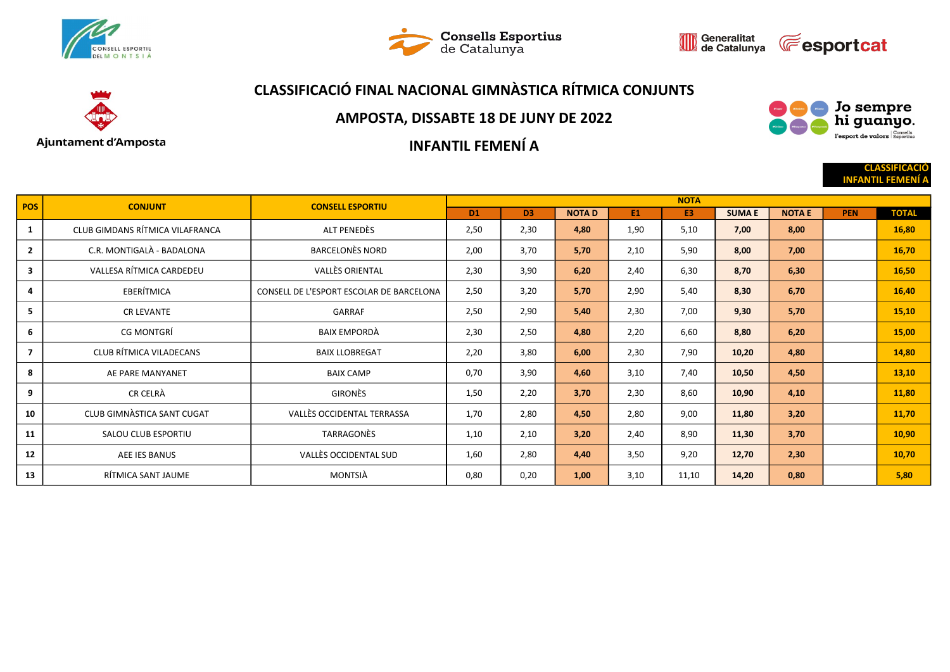





### CLASSIFICACIÓ FINAL NACIONAL GIMNÀSTICA RÍTMICA CONJUNTS



#### AMPOSTA, DISSABTE 18 DE JUNY DE 2022

INFANTIL FEMENÍ A



**CLASSIFICACI INFANTIL FEMEN** 

| <b>POS</b>     | <b>CONJUNT</b>                  | <b>CONSELL ESPORTIU</b>                  | <b>NOTA</b>    |                |              |      |                |              |               |            |              |  |
|----------------|---------------------------------|------------------------------------------|----------------|----------------|--------------|------|----------------|--------------|---------------|------------|--------------|--|
|                |                                 |                                          | D <sub>1</sub> | D <sub>3</sub> | <b>NOTAD</b> | E1   | E <sub>3</sub> | <b>SUMAE</b> | <b>NOTA E</b> | <b>PEN</b> | <b>TOTAL</b> |  |
| 1              | CLUB GIMDANS RÍTMICA VILAFRANCA | ALT PENEDÈS                              | 2,50           | 2,30           | 4,80         | 1,90 | 5,10           | 7,00         | 8,00          |            | 16,80        |  |
| $\mathbf{2}$   | C.R. MONTIGALÀ - BADALONA       | <b>BARCELONÈS NORD</b>                   | 2,00           | 3,70           | 5,70         | 2,10 | 5,90           | 8,00         | 7,00          |            | 16,70        |  |
| $\mathbf{3}$   | VALLESA RÍTMICA CARDEDEU        | <b>VALLÈS ORIENTAL</b>                   | 2,30           | 3,90           | 6,20         | 2,40 | 6,30           | 8,70         | 6,30          |            | 16,50        |  |
| 4              | EBERÍTMICA                      | CONSELL DE L'ESPORT ESCOLAR DE BARCELONA | 2,50           | 3,20           | 5,70         | 2,90 | 5,40           | 8,30         | 6,70          |            | 16,40        |  |
| 5              | <b>CR LEVANTE</b>               | GARRAF                                   | 2,50           | 2,90           | 5,40         | 2,30 | 7,00           | 9,30         | 5,70          |            | 15,10        |  |
| 6              | CG MONTGRÍ                      | BAIX EMPORDÀ                             | 2,30           | 2,50           | 4,80         | 2,20 | 6,60           | 8,80         | 6,20          |            | 15,00        |  |
| $\overline{7}$ | CLUB RÍTMICA VILADECANS         | <b>BAIX LLOBREGAT</b>                    | 2,20           | 3,80           | 6,00         | 2,30 | 7,90           | 10,20        | 4,80          |            | 14,80        |  |
| 8              | AE PARE MANYANET                | <b>BAIX CAMP</b>                         | 0,70           | 3,90           | 4,60         | 3,10 | 7,40           | 10,50        | 4,50          |            | 13,10        |  |
| 9              | CR CELRÀ                        | <b>GIRONÈS</b>                           | 1,50           | 2,20           | 3,70         | 2,30 | 8,60           | 10,90        | 4,10          |            | 11,80        |  |
| 10             | CLUB GIMNASTICA SANT CUGAT      | VALLÈS OCCIDENTAL TERRASSA               | 1,70           | 2,80           | 4,50         | 2,80 | 9,00           | 11,80        | 3,20          |            | 11,70        |  |
| 11             | SALOU CLUB ESPORTIU             | TARRAGONÈS                               | 1,10           | 2,10           | 3,20         | 2.40 | 8,90           | 11,30        | 3,70          |            | 10,90        |  |
| 12             | AEE IES BANUS                   | VALLÈS OCCIDENTAL SUD                    | 1,60           | 2,80           | 4,40         | 3,50 | 9,20           | 12,70        | 2,30          |            | 10,70        |  |
| 13             | RÍTMICA SANT JAUME              | MONTSIÀ                                  | 0,80           | 0,20           | 1,00         | 3,10 | 11,10          | 14,20        | 0,80          |            | 5,80         |  |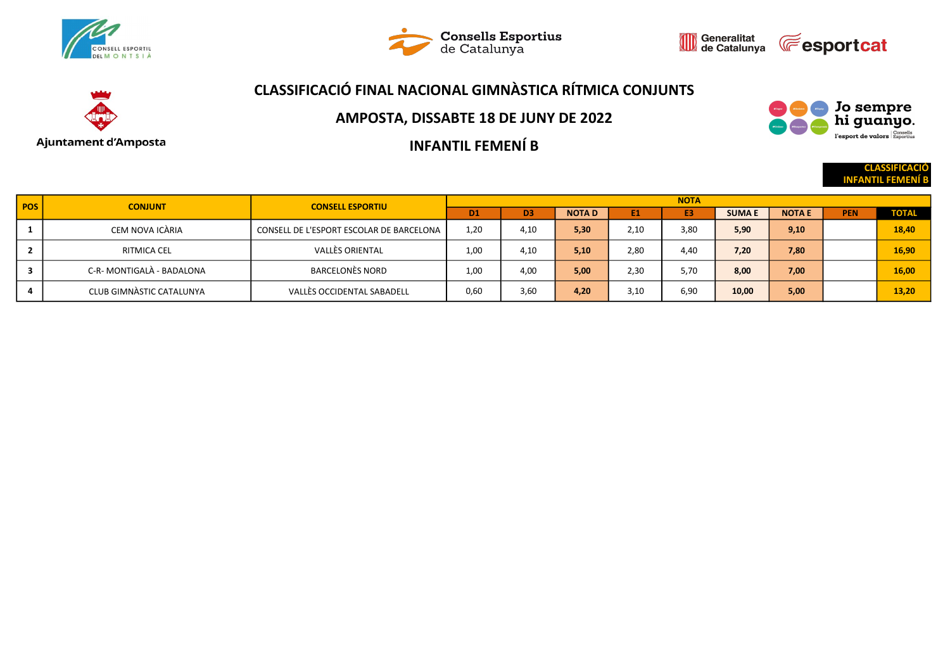





## CLASSIFICACIÓ FINAL NACIONAL GIMNÀSTICA RÍTMICA CONJUNTS



#### AMPOSTA, DISSABTE 18 DE JUNY DE 2022

INFANTIL FEMENÍ B

**CLASSIFICACI** 

Jo sempre<br>hi guanyo. l'esport de valors Esportius

**INFANTIL FEME** 

| <b>POS</b> | <b>CONJUNT</b>            | <b>CONSELL ESPORTIU</b>                  | <b>NOTA</b>    |                |              |      |      |              |               |            |              |  |
|------------|---------------------------|------------------------------------------|----------------|----------------|--------------|------|------|--------------|---------------|------------|--------------|--|
|            |                           |                                          | D <sub>1</sub> | D <sub>3</sub> | <b>NOTAD</b> | E1   | E3   | <b>SUMAE</b> | <b>NOTA E</b> | <b>PEN</b> | <b>TOTAL</b> |  |
|            | CEM NOVA ICÀRIA           | CONSELL DE L'ESPORT ESCOLAR DE BARCELONA | 1,20           | 4,10           | 5,30         | 2,10 | 3,80 | 5,90         | 9,10          |            | 18.40        |  |
|            | RITMICA CEL               | VALLÈS ORIENTAL                          | 1.00           | 4,10           | 5,10         | 2.80 | 4.40 | 7,20         | 7,80          |            | 16,90        |  |
|            | C-R- MONTIGALÀ - BADALONA | BARCELONÈS NORD                          | 1.00           | 4,00           | 5,00         | 2.30 | 5,70 | 8.00         | 7,00          |            | 16,00        |  |
|            | CLUB GIMNASTIC CATALUNYA  | VALLÈS OCCIDENTAL SABADELL               | 0,60           | 3,60           | 4,20         | 3,10 | 6,90 | 10,00        | 5,00          |            | 13,20        |  |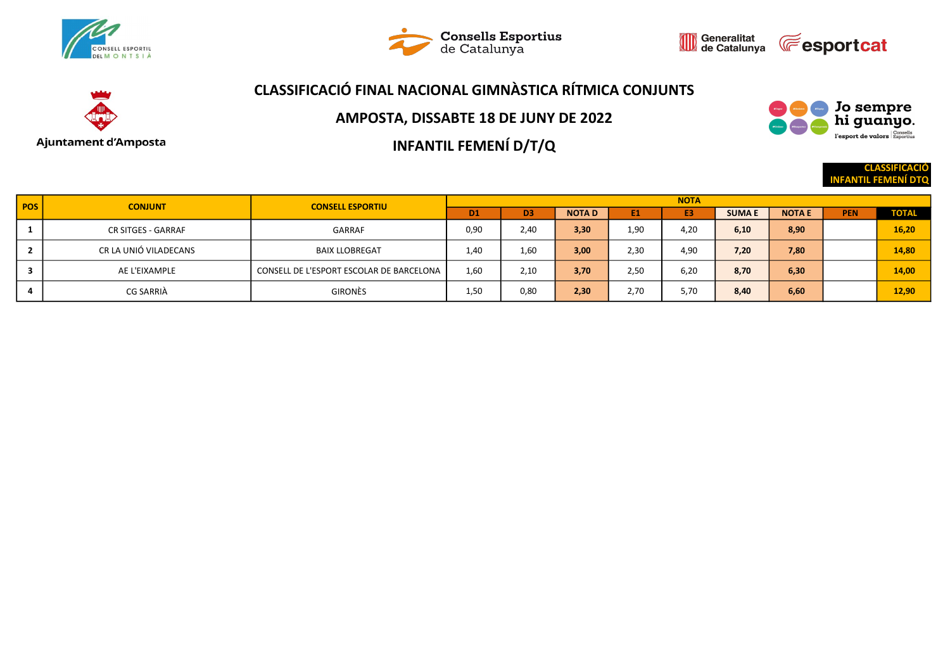





# Ajuntament d'Amposta

## CLASSIFICACIÓ FINAL NACIONAL GIMNÀSTICA RÍTMICA CONJUNTS

AMPOSTA, DISSABTE 18 DE JUNY DE 2022

INFANTIL FEMENÍ D/T/Q

Jo sempre<br>hi guanyo. l'esport de valors Esportius

> **CLASSIFICACIÓ** INFANTIL FEMENÍ DTQ

| POS <sup>1</sup> | <b>CONJUNT</b>        | <b>CONSELL ESPORTIU</b>                  | <b>NOTA</b>    |                |              |      |                |              |               |            |              |  |
|------------------|-----------------------|------------------------------------------|----------------|----------------|--------------|------|----------------|--------------|---------------|------------|--------------|--|
|                  |                       |                                          | D <sub>1</sub> | D <sub>3</sub> | <b>NOTAD</b> | E1   | E <sub>3</sub> | <b>SUMAE</b> | <b>NOTA E</b> | <b>PEN</b> | <b>TOTAL</b> |  |
|                  | CR SITGES - GARRAF    | <b>GARRAF</b>                            | 0,90           | 2,40           | 3,30         | 1,90 | 4,20           | 6,10         | 8,90          |            | 16,20        |  |
|                  | CR LA UNIÓ VILADECANS | <b>BAIX LLOBREGAT</b>                    | 1.40           | 1.60           | 3,00         | 2,30 | 4,90           | 7,20         | 7,80          |            | 14,80        |  |
| 3                | AE L'EIXAMPLE         | CONSELL DE L'ESPORT ESCOLAR DE BARCELONA | 1,60           | 2,10           | 3,70         | 2,50 | 6,20           | 8,70         | 6,30          |            | 14,00        |  |
| 4                | CG SARRIÀ             | <b>GIRONÈS</b>                           | 1,50           | 0,80           | 2,30         | 2,70 | 5,70           | 8,40         | 6,60          |            | 12,90        |  |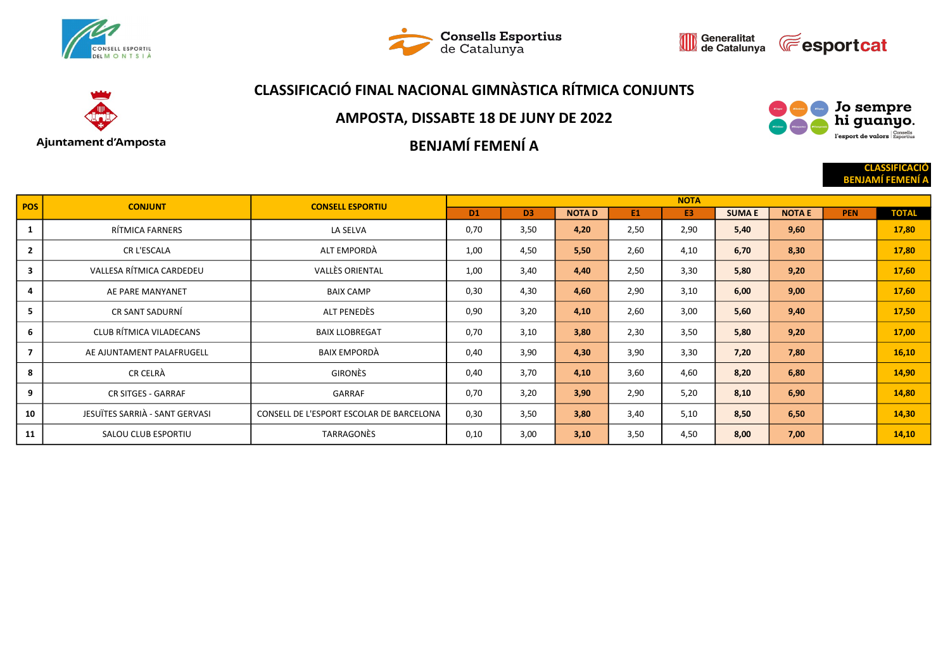





# CLASSIFICACIÓ FINAL NACIONAL GIMNÀSTICA RÍTMICA CONJUNTS



#### AMPOSTA, DISSABTE 18 DE JUNY DE 2022

BENJAMÍ FEMENÍ A



**CLASSIFICACI BENJAMÍ FEMEN** 

| <b>POS</b>     | <b>CONJUNT</b>                 | <b>CONSELL ESPORTIU</b>                  | <b>NOTA</b>    |                |              |      |                |              |               |            |              |  |
|----------------|--------------------------------|------------------------------------------|----------------|----------------|--------------|------|----------------|--------------|---------------|------------|--------------|--|
|                |                                |                                          | D <sub>1</sub> | D <sub>3</sub> | <b>NOTAD</b> | E1   | E <sub>3</sub> | <b>SUMAE</b> | <b>NOTA E</b> | <b>PEN</b> | <b>TOTAL</b> |  |
| 1              | RÍTMICA FARNERS                | LA SELVA                                 | 0,70           | 3,50           | 4,20         | 2,50 | 2,90           | 5,40         | 9,60          |            | 17,80        |  |
| $\mathbf{2}$   | CR L'ESCALA                    | ALT EMPORDÀ                              | 1,00           | 4,50           | 5,50         | 2,60 | 4,10           | 6,70         | 8,30          |            | 17,80        |  |
| 3              | VALLESA RÍTMICA CARDEDEU       | VALLÈS ORIENTAL                          | 1,00           | 3,40           | 4,40         | 2,50 | 3,30           | 5,80         | 9,20          |            | 17,60        |  |
| 4              | AE PARE MANYANET               | <b>BAIX CAMP</b>                         | 0,30           | 4,30           | 4,60         | 2,90 | 3,10           | 6,00         | 9,00          |            | 17,60        |  |
| 5 <sub>1</sub> | CR SANT SADURNÍ                | ALT PENEDES                              | 0,90           | 3,20           | 4,10         | 2,60 | 3,00           | 5,60         | 9,40          |            | 17,50        |  |
| 6              | CLUB RÍTMICA VILADECANS        | <b>BAIX LLOBREGAT</b>                    | 0,70           | 3,10           | 3,80         | 2,30 | 3,50           | 5,80         | 9,20          |            | 17,00        |  |
|                | AE AJUNTAMENT PALAFRUGELL      | BAIX EMPORDÀ                             | 0,40           | 3,90           | 4,30         | 3,90 | 3,30           | 7,20         | 7,80          |            | 16,10        |  |
| 8              | CR CELRÀ                       | GIRONÈS                                  | 0,40           | 3,70           | 4,10         | 3,60 | 4,60           | 8,20         | 6,80          |            | 14,90        |  |
| 9              | <b>CR SITGES - GARRAF</b>      | GARRAF                                   | 0,70           | 3,20           | 3,90         | 2,90 | 5,20           | 8,10         | 6,90          |            | 14,80        |  |
| 10             | JESUÏTES SARRIÀ - SANT GERVASI | CONSELL DE L'ESPORT ESCOLAR DE BARCELONA | 0,30           | 3,50           | 3,80         | 3,40 | 5,10           | 8,50         | 6,50          |            | 14,30        |  |
| 11             | SALOU CLUB ESPORTIU            | TARRAGONÈS                               | 0,10           | 3,00           | 3,10         | 3,50 | 4,50           | 8,00         | 7,00          |            | 14,10        |  |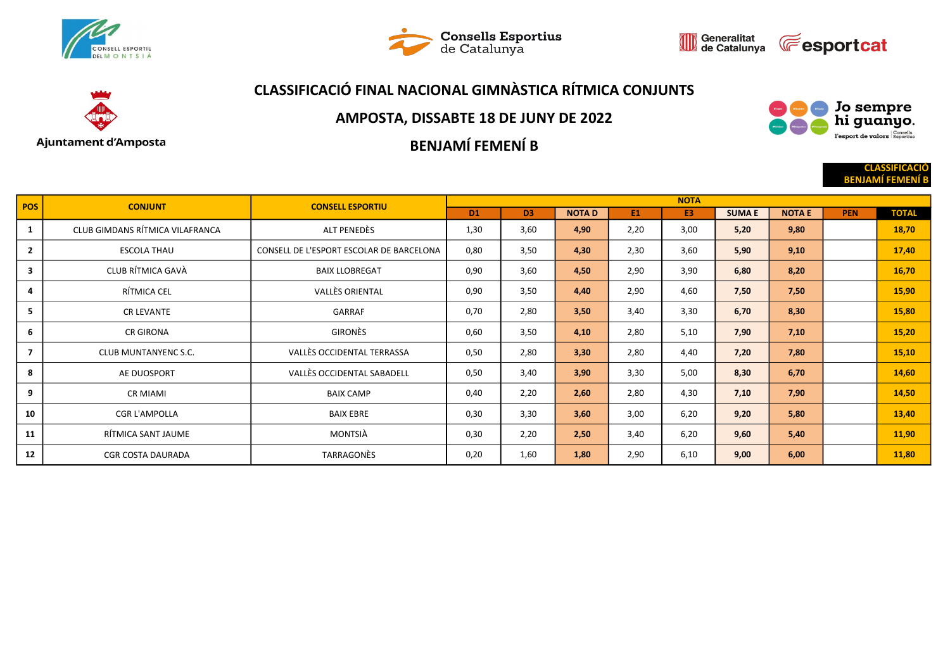





# Ajuntament d'Amposta

## CLASSIFICACIÓ FINAL NACIONAL GIMNÀSTICA RÍTMICA CONJUNTS

#### AMPOSTA, DISSABTE 18 DE JUNY DE 2022

BENJAMÍ FEMENÍ B



**CLASSIFICACI BENJAMÍ FEMEN** 

| <b>POS</b>     | <b>CONJUNT</b>                  | <b>CONSELL ESPORTIU</b>                  | <b>NOTA</b>    |                |              |      |                |              |               |            |              |  |
|----------------|---------------------------------|------------------------------------------|----------------|----------------|--------------|------|----------------|--------------|---------------|------------|--------------|--|
|                |                                 |                                          | D <sub>1</sub> | D <sub>3</sub> | <b>NOTAD</b> | E1   | E <sub>3</sub> | <b>SUMAE</b> | <b>NOTA E</b> | <b>PEN</b> | <b>TOTAL</b> |  |
| 1              | CLUB GIMDANS RÍTMICA VILAFRANCA | ALT PENEDÈS                              | 1,30           | 3,60           | 4,90         | 2,20 | 3,00           | 5,20         | 9,80          |            | 18,70        |  |
| $\overline{2}$ | <b>ESCOLA THAU</b>              | CONSELL DE L'ESPORT ESCOLAR DE BARCELONA | 0,80           | 3,50           | 4,30         | 2,30 | 3,60           | 5,90         | 9,10          |            | 17,40        |  |
| $\mathbf{3}$   | CLUB RÍTMICA GAVÀ               | <b>BAIX LLOBREGAT</b>                    | 0,90           | 3,60           | 4,50         | 2,90 | 3,90           | 6,80         | 8,20          |            | 16,70        |  |
| 4              | RÍTMICA CEL                     | <b>VALLÈS ORIENTAL</b>                   | 0,90           | 3,50           | 4,40         | 2,90 | 4,60           | 7,50         | 7,50          |            | 15,90        |  |
| 5              | <b>CR LEVANTE</b>               | GARRAF                                   | 0,70           | 2,80           | 3,50         | 3,40 | 3,30           | 6,70         | 8,30          |            | 15,80        |  |
| 6              | <b>CR GIRONA</b>                | GIRONÈS                                  | 0,60           | 3,50           | 4,10         | 2,80 | 5,10           | 7,90         | 7,10          |            | 15,20        |  |
| $\overline{7}$ | CLUB MUNTANYENC S.C.            | VALLÈS OCCIDENTAL TERRASSA               | 0,50           | 2,80           | 3,30         | 2,80 | 4,40           | 7,20         | 7,80          |            | 15,10        |  |
| 8              | AE DUOSPORT                     | VALLÈS OCCIDENTAL SABADELL               | 0,50           | 3,40           | 3,90         | 3,30 | 5,00           | 8,30         | 6,70          |            | 14,60        |  |
| 9              | <b>CR MIAMI</b>                 | <b>BAIX CAMP</b>                         | 0,40           | 2,20           | 2,60         | 2,80 | 4,30           | 7,10         | 7,90          |            | 14,50        |  |
| 10             | <b>CGR L'AMPOLLA</b>            | <b>BAIX EBRE</b>                         | 0,30           | 3,30           | 3,60         | 3,00 | 6,20           | 9,20         | 5,80          |            | 13,40        |  |
| 11             | RÍTMICA SANT JAUME              | MONTSIÀ                                  | 0,30           | 2,20           | 2,50         | 3,40 | 6,20           | 9,60         | 5,40          |            | 11,90        |  |
| 12             | <b>CGR COSTA DAURADA</b>        | TARRAGONÈS                               | 0,20           | 1,60           | 1,80         | 2,90 | 6,10           | 9,00         | 6,00          |            | 11,80        |  |